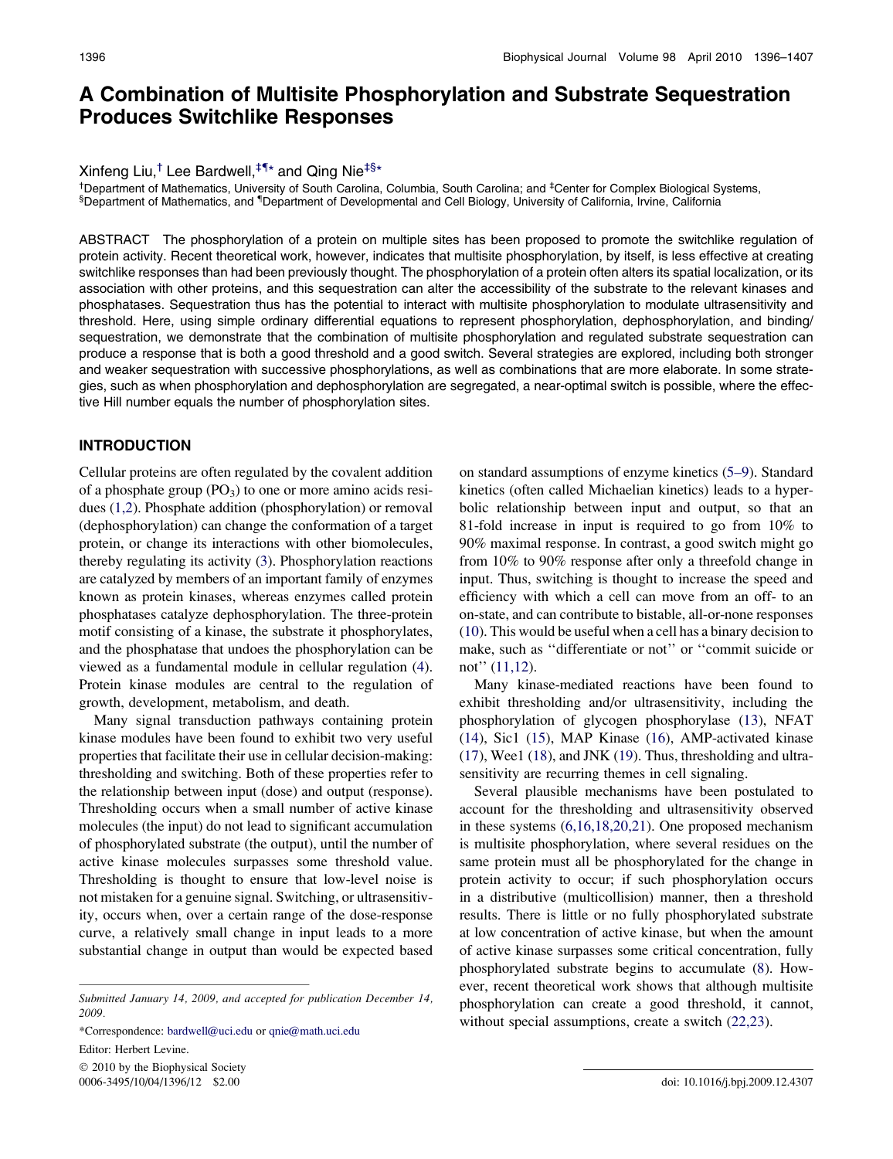# A Combination of Multisite Phosphorylation and Substrate Sequestration Produces Switchlike Responses

## Xinfeng Liu,<sup>†</sup> Lee Bardwell,<sup>‡¶</sup>\* and Qing Nie<sup>‡§</sup>\*

<sup>†</sup> Department of Mathematics, University of South Carolina, Columbia, South Carolina; and <sup>‡</sup>Center for Complex Biological Systems,<br>§ Department of Mathematics, and <u>IDepartment of Developmental and Coll Biology</u>, Univers Department of Mathematics, and <sup>1</sup>Department of Developmental and Cell Biology, University of California, Irvine, California

ABSTRACT The phosphorylation of a protein on multiple sites has been proposed to promote the switchlike regulation of protein activity. Recent theoretical work, however, indicates that multisite phosphorylation, by itself, is less effective at creating switchlike responses than had been previously thought. The phosphorylation of a protein often alters its spatial localization, or its association with other proteins, and this sequestration can alter the accessibility of the substrate to the relevant kinases and phosphatases. Sequestration thus has the potential to interact with multisite phosphorylation to modulate ultrasensitivity and threshold. Here, using simple ordinary differential equations to represent phosphorylation, dephosphorylation, and binding/ sequestration, we demonstrate that the combination of multisite phosphorylation and regulated substrate sequestration can produce a response that is both a good threshold and a good switch. Several strategies are explored, including both stronger and weaker sequestration with successive phosphorylations, as well as combinations that are more elaborate. In some strategies, such as when phosphorylation and dephosphorylation are segregated, a near-optimal switch is possible, where the effective Hill number equals the number of phosphorylation sites.

## INTRODUCTION

Cellular proteins are often regulated by the covalent addition of a phosphate group  $(PO<sub>3</sub>)$  to one or more amino acids residues [\(1,2\)](#page-10-0). Phosphate addition (phosphorylation) or removal (dephosphorylation) can change the conformation of a target protein, or change its interactions with other biomolecules, thereby regulating its activity ([3\)](#page-10-0). Phosphorylation reactions are catalyzed by members of an important family of enzymes known as protein kinases, whereas enzymes called protein phosphatases catalyze dephosphorylation. The three-protein motif consisting of a kinase, the substrate it phosphorylates, and the phosphatase that undoes the phosphorylation can be viewed as a fundamental module in cellular regulation ([4\)](#page-10-0). Protein kinase modules are central to the regulation of growth, development, metabolism, and death.

Many signal transduction pathways containing protein kinase modules have been found to exhibit two very useful properties that facilitate their use in cellular decision-making: thresholding and switching. Both of these properties refer to the relationship between input (dose) and output (response). Thresholding occurs when a small number of active kinase molecules (the input) do not lead to significant accumulation of phosphorylated substrate (the output), until the number of active kinase molecules surpasses some threshold value. Thresholding is thought to ensure that low-level noise is not mistaken for a genuine signal. Switching, or ultrasensitivity, occurs when, over a certain range of the dose-response curve, a relatively small change in input leads to a more substantial change in output than would be expected based

\*Correspondence: [bardwell@uci.edu](mailto:bardwell@uci.edu) or [qnie@math.uci.edu](mailto:qnie@math.uci.edu)

Editor: Herbert Levine.

 $© 2010$  by the Biophysical Society 0006-3495/10/04/1396/12 \$2.00 doi: 10.1016/j.bpj.2009.12.4307

on standard assumptions of enzyme kinetics [\(5–9](#page-10-0)). Standard kinetics (often called Michaelian kinetics) leads to a hyperbolic relationship between input and output, so that an 81-fold increase in input is required to go from 10% to 90% maximal response. In contrast, a good switch might go from 10% to 90% response after only a threefold change in input. Thus, switching is thought to increase the speed and efficiency with which a cell can move from an off- to an on-state, and can contribute to bistable, all-or-none responses ([10\)](#page-10-0). This would be useful when a cell has a binary decision to make, such as ''differentiate or not'' or ''commit suicide or not'' ([11,12](#page-10-0)).

Many kinase-mediated reactions have been found to exhibit thresholding and/or ultrasensitivity, including the phosphorylation of glycogen phosphorylase [\(13](#page-10-0)), NFAT ([14\)](#page-10-0), Sic1 ([15\)](#page-10-0), MAP Kinase ([16\)](#page-10-0), AMP-activated kinase ([17\)](#page-10-0), Wee1 ([18\)](#page-10-0), and JNK ([19\)](#page-10-0). Thus, thresholding and ultrasensitivity are recurring themes in cell signaling.

Several plausible mechanisms have been postulated to account for the thresholding and ultrasensitivity observed in these systems ([6,16,18,20,21\)](#page-10-0). One proposed mechanism is multisite phosphorylation, where several residues on the same protein must all be phosphorylated for the change in protein activity to occur; if such phosphorylation occurs in a distributive (multicollision) manner, then a threshold results. There is little or no fully phosphorylated substrate at low concentration of active kinase, but when the amount of active kinase surpasses some critical concentration, fully phosphorylated substrate begins to accumulate ([8\)](#page-10-0). However, recent theoretical work shows that although multisite phosphorylation can create a good threshold, it cannot, without special assumptions, create a switch [\(22,23\)](#page-10-0).

Submitted January 14, 2009, and accepted for publication December 14, 2009.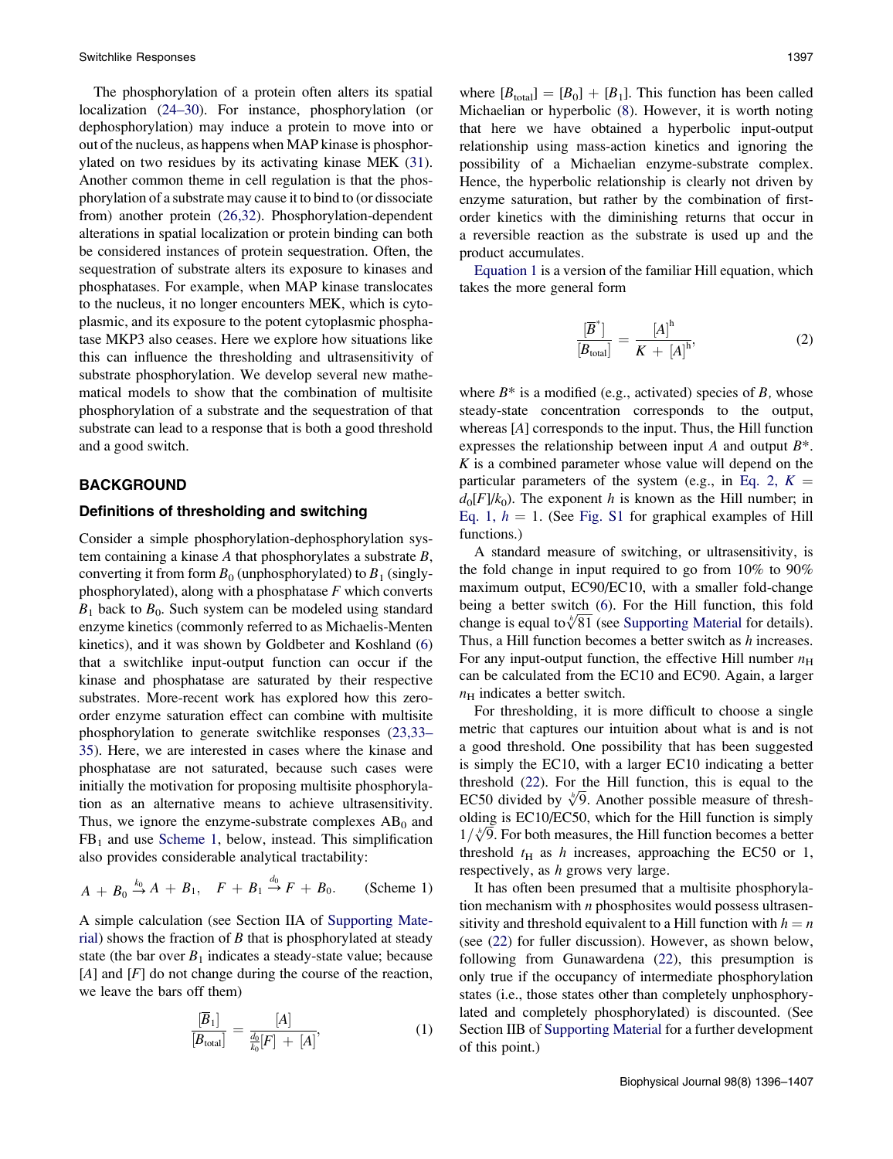The phosphorylation of a protein often alters its spatial localization ([24–30\)](#page-10-0). For instance, phosphorylation (or dephosphorylation) may induce a protein to move into or out of the nucleus, as happens when MAP kinase is phosphorylated on two residues by its activating kinase MEK ([31\)](#page-10-0). Another common theme in cell regulation is that the phosphorylation of a substrate may cause it to bind to (or dissociate from) another protein ([26,32](#page-10-0)). Phosphorylation-dependent alterations in spatial localization or protein binding can both be considered instances of protein sequestration. Often, the sequestration of substrate alters its exposure to kinases and phosphatases. For example, when MAP kinase translocates to the nucleus, it no longer encounters MEK, which is cytoplasmic, and its exposure to the potent cytoplasmic phosphatase MKP3 also ceases. Here we explore how situations like this can influence the thresholding and ultrasensitivity of substrate phosphorylation. We develop several new mathematical models to show that the combination of multisite phosphorylation of a substrate and the sequestration of that substrate can lead to a response that is both a good threshold and a good switch.

#### **BACKGROUND**

#### Definitions of thresholding and switching

Consider a simple phosphorylation-dephosphorylation system containing a kinase  $A$  that phosphorylates a substrate  $B$ , converting it from form  $B_0$  (unphosphorylated) to  $B_1$  (singlyphosphorylated), along with a phosphatase  $F$  which converts  $B_1$  back to  $B_0$ . Such system can be modeled using standard enzyme kinetics (commonly referred to as Michaelis-Menten kinetics), and it was shown by Goldbeter and Koshland [\(6](#page-10-0)) that a switchlike input-output function can occur if the kinase and phosphatase are saturated by their respective substrates. More-recent work has explored how this zeroorder enzyme saturation effect can combine with multisite phosphorylation to generate switchlike responses [\(23,33–](#page-10-0) [35](#page-10-0)). Here, we are interested in cases where the kinase and phosphatase are not saturated, because such cases were initially the motivation for proposing multisite phosphorylation as an alternative means to achieve ultrasensitivity. Thus, we ignore the enzyme-substrate complexes  $AB_0$  and  $FB<sub>1</sub>$  and use Scheme 1, below, instead. This simplification also provides considerable analytical tractability:

$$
A + B_0 \stackrel{k_0}{\rightarrow} A + B_1, \quad F + B_1 \stackrel{d_0}{\rightarrow} F + B_0.
$$
 (Scheme 1)

A simple calculation (see Section IIA of [Supporting Mate](#page-9-0)[rial](#page-9-0)) shows the fraction of  $B$  that is phosphorylated at steady state (the bar over  $B_1$  indicates a steady-state value; because [A] and [F] do not change during the course of the reaction, we leave the bars off them)

$$
\frac{[\overline{B}_1]}{[B_{\text{total}}]} = \frac{[A]}{\frac{d_0}{k_0}[F] + [A]},\tag{1}
$$

where  $[B_{\text{total}}] = [B_0] + [B_1]$ . This function has been called Michaelian or hyperbolic [\(8](#page-10-0)). However, it is worth noting that here we have obtained a hyperbolic input-output relationship using mass-action kinetics and ignoring the possibility of a Michaelian enzyme-substrate complex. Hence, the hyperbolic relationship is clearly not driven by enzyme saturation, but rather by the combination of firstorder kinetics with the diminishing returns that occur in a reversible reaction as the substrate is used up and the product accumulates.

Equation 1 is a version of the familiar Hill equation, which takes the more general form

$$
\frac{[\overline{B}^*]}{[B_{\text{total}}]} = \frac{[A]^{\text{h}}}{K + [A]^{\text{h}}},\tag{2}
$$

where  $B^*$  is a modified (e.g., activated) species of B, whose steady-state concentration corresponds to the output, whereas [A] corresponds to the input. Thus, the Hill function expresses the relationship between input  $A$  and output  $B^*$ .  $K$  is a combined parameter whose value will depend on the particular parameters of the system (e.g., in Eq. 2,  $K =$  $d_0[F]/k_0$ . The exponent h is known as the Hill number; in Eq. 1,  $h = 1$ . (See [Fig. S1](#page-9-0) for graphical examples of Hill functions.)

A standard measure of switching, or ultrasensitivity, is the fold change in input required to go from 10% to 90% maximum output, EC90/EC10, with a smaller fold-change being a better switch ([6\)](#page-10-0). For the Hill function, this fold being a better switch (6). For the Hill function, this fold<br>change is equal to  $\sqrt[k]{81}$  (see [Supporting Material](#page-9-0) for details). Thus, a Hill function becomes a better switch as h increases. For any input-output function, the effective Hill number  $n<sub>H</sub>$ can be calculated from the EC10 and EC90. Again, a larger  $n<sub>H</sub>$  indicates a better switch.

For thresholding, it is more difficult to choose a single metric that captures our intuition about what is and is not a good threshold. One possibility that has been suggested is simply the EC10, with a larger EC10 indicating a better threshold ([22\)](#page-10-0). For the Hill function, this is equal to the threshold  $(22)$ . For the Filli function, this is equal to the EC50 divided by  $\sqrt[n]{9}$ . Another possible measure of thresholding is EC10/EC50, which for the Hill function is simply biding is ECTO/ECSO, which for the Hill function is simply  $1/\sqrt[4]{9}$ . For both measures, the Hill function becomes a better threshold  $t_H$  as h increases, approaching the EC50 or 1, respectively, as h grows very large.

It has often been presumed that a multisite phosphorylation mechanism with  $n$  phosphosites would possess ultrasensitivity and threshold equivalent to a Hill function with  $h = n$ (see ([22\)](#page-10-0) for fuller discussion). However, as shown below, following from Gunawardena ([22\)](#page-10-0), this presumption is only true if the occupancy of intermediate phosphorylation states (i.e., those states other than completely unphosphorylated and completely phosphorylated) is discounted. (See Section IIB of [Supporting Material](#page-9-0) for a further development of this point.)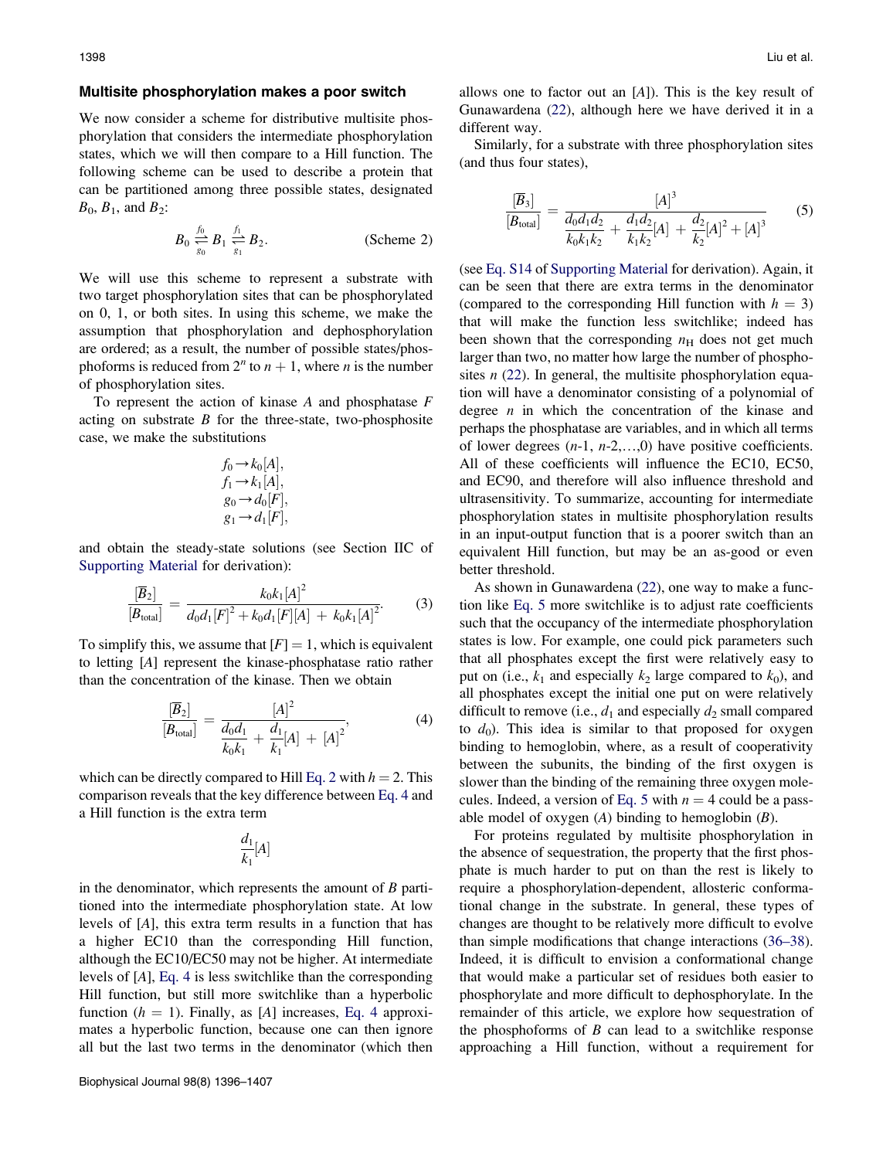#### Multisite phosphorylation makes a poor switch

We now consider a scheme for distributive multisite phosphorylation that considers the intermediate phosphorylation states, which we will then compare to a Hill function. The following scheme can be used to describe a protein that can be partitioned among three possible states, designated  $B_0, B_1,$  and  $B_2$ :

$$
B_0 \stackrel{f_0}{\underset{g_0}{\rightleftharpoons}} B_1 \stackrel{f_1}{\underset{g_1}{\rightleftharpoons}} B_2. \tag{Scheme 2}
$$

We will use this scheme to represent a substrate with two target phosphorylation sites that can be phosphorylated on 0, 1, or both sites. In using this scheme, we make the assumption that phosphorylation and dephosphorylation are ordered; as a result, the number of possible states/phosphoforms is reduced from  $2^n$  to  $n + 1$ , where *n* is the number of phosphorylation sites.

To represent the action of kinase  $A$  and phosphatase  $F$ acting on substrate  $B$  for the three-state, two-phosphosite case, we make the substitutions

$$
f_0 \to k_0[A],
$$
  
\n
$$
f_1 \to k_1[A],
$$
  
\n
$$
g_0 \to d_0[F],
$$
  
\n
$$
g_1 \to d_1[F],
$$

and obtain the steady-state solutions (see Section IIC of [Supporting Material](#page-9-0) for derivation):

$$
\frac{[\overline{B}_2]}{[B_{\text{total}}]} = \frac{k_0 k_1 [A]^2}{d_0 d_1 [F]^2 + k_0 d_1 [F][A] + k_0 k_1 [A]^2}.
$$
 (3)

To simplify this, we assume that  $[F] = 1$ , which is equivalent to letting [A] represent the kinase-phosphatase ratio rather than the concentration of the kinase. Then we obtain

$$
\frac{[\overline{B}_2]}{[B_{\text{total}}]} = \frac{[A]^2}{\frac{d_0 d_1}{k_0 k_1} + \frac{d_1}{k_1} [A] + [A]^2},\tag{4}
$$

which can be directly compared to Hill Eq. 2 with  $h = 2$ . This comparison reveals that the key difference between Eq. 4 and a Hill function is the extra term

$$
\frac{d_1}{k_1}[A]
$$

in the denominator, which represents the amount of  $B$  partitioned into the intermediate phosphorylation state. At low levels of [A], this extra term results in a function that has a higher EC10 than the corresponding Hill function, although the EC10/EC50 may not be higher. At intermediate levels of [A], Eq. 4 is less switchlike than the corresponding Hill function, but still more switchlike than a hyperbolic function ( $h = 1$ ). Finally, as [A] increases, Eq. 4 approximates a hyperbolic function, because one can then ignore all but the last two terms in the denominator (which then allows one to factor out an [A]). This is the key result of Gunawardena ([22\)](#page-10-0), although here we have derived it in a different way.

Similarly, for a substrate with three phosphorylation sites (and thus four states),

$$
\frac{[\overline{B}_3]}{[B_{\text{total}}]} = \frac{[A]^3}{\frac{d_0 d_1 d_2}{k_0 k_1 k_2} + \frac{d_1 d_2}{k_1 k_2} [A] + \frac{d_2}{k_2} [A]^2 + [A]^3}
$$
(5)

(see [Eq. S14](#page-9-0) of [Supporting Material](#page-9-0) for derivation). Again, it can be seen that there are extra terms in the denominator (compared to the corresponding Hill function with  $h = 3$ ) that will make the function less switchlike; indeed has been shown that the corresponding  $n_H$  does not get much larger than two, no matter how large the number of phosphosites  $n$  [\(22](#page-10-0)). In general, the multisite phosphorylation equation will have a denominator consisting of a polynomial of degree  $n$  in which the concentration of the kinase and perhaps the phosphatase are variables, and in which all terms of lower degrees  $(n-1, n-2,...,0)$  have positive coefficients. All of these coefficients will influence the EC10, EC50, and EC90, and therefore will also influence threshold and ultrasensitivity. To summarize, accounting for intermediate phosphorylation states in multisite phosphorylation results in an input-output function that is a poorer switch than an equivalent Hill function, but may be an as-good or even better threshold.

As shown in Gunawardena ([22\)](#page-10-0), one way to make a function like Eq. 5 more switchlike is to adjust rate coefficients such that the occupancy of the intermediate phosphorylation states is low. For example, one could pick parameters such that all phosphates except the first were relatively easy to put on (i.e.,  $k_1$  and especially  $k_2$  large compared to  $k_0$ ), and all phosphates except the initial one put on were relatively difficult to remove (i.e.,  $d_1$  and especially  $d_2$  small compared to  $d_0$ ). This idea is similar to that proposed for oxygen binding to hemoglobin, where, as a result of cooperativity between the subunits, the binding of the first oxygen is slower than the binding of the remaining three oxygen molecules. Indeed, a version of Eq. 5 with  $n = 4$  could be a passable model of oxygen  $(A)$  binding to hemoglobin  $(B)$ .

For proteins regulated by multisite phosphorylation in the absence of sequestration, the property that the first phosphate is much harder to put on than the rest is likely to require a phosphorylation-dependent, allosteric conformational change in the substrate. In general, these types of changes are thought to be relatively more difficult to evolve than simple modifications that change interactions ([36–38\)](#page-10-0). Indeed, it is difficult to envision a conformational change that would make a particular set of residues both easier to phosphorylate and more difficult to dephosphorylate. In the remainder of this article, we explore how sequestration of the phosphoforms of  $B$  can lead to a switchlike response approaching a Hill function, without a requirement for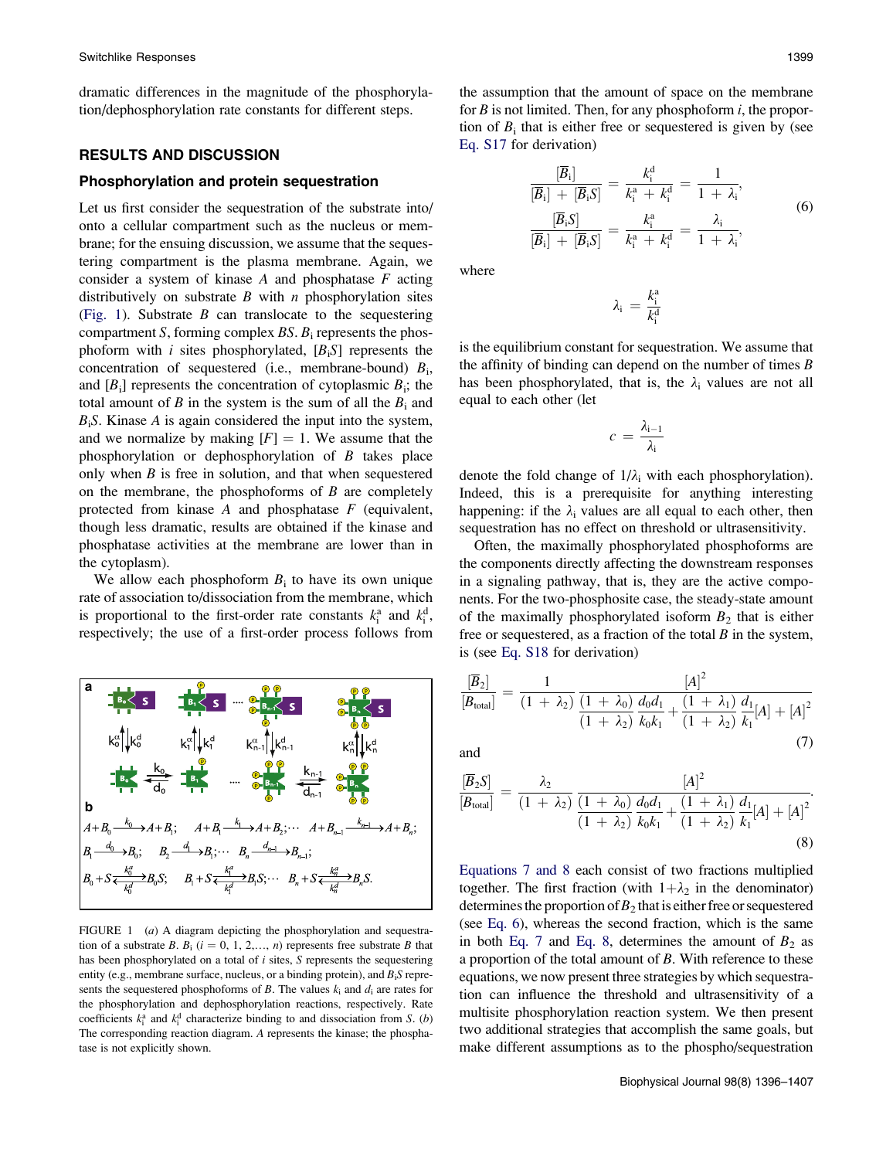<span id="page-3-0"></span>dramatic differences in the magnitude of the phosphorylation/dephosphorylation rate constants for different steps.

#### RESULTS AND DISCUSSION

#### Phosphorylation and protein sequestration

Let us first consider the sequestration of the substrate into/ onto a cellular compartment such as the nucleus or membrane; for the ensuing discussion, we assume that the sequestering compartment is the plasma membrane. Again, we consider a system of kinase  $A$  and phosphatase  $F$  acting distributively on substrate  $B$  with  $n$  phosphorylation sites (Fig. 1). Substrate  $B$  can translocate to the sequestering compartment S, forming complex  $BS. B_i$  represents the phosphoform with i sites phosphorylated,  $[B_i S]$  represents the concentration of sequestered (i.e., membrane-bound)  $B_i$ , and  $[B_i]$  represents the concentration of cytoplasmic  $B_i$ ; the total amount of B in the system is the sum of all the  $B_i$  and  $B_i$ S. Kinase A is again considered the input into the system, and we normalize by making  $[F] = 1$ . We assume that the phosphorylation or dephosphorylation of B takes place only when  $B$  is free in solution, and that when sequestered on the membrane, the phosphoforms of  $B$  are completely protected from kinase A and phosphatase F (equivalent, though less dramatic, results are obtained if the kinase and phosphatase activities at the membrane are lower than in the cytoplasm).

We allow each phosphoform  $B_i$  to have its own unique rate of association to/dissociation from the membrane, which is proportional to the first-order rate constants  $k_i^a$  and  $k_i^d$ , respectively; the use of a first-order process follows from



FIGURE 1 (*a*) A diagram depicting the phosphorylation and sequestration of a substrate B.  $B_i$  ( $i = 0, 1, 2, \ldots, n$ ) represents free substrate B that has been phosphorylated on a total of  $i$  sites,  $S$  represents the sequestering entity (e.g., membrane surface, nucleus, or a binding protein), and  $B_iS$  represents the sequestered phosphoforms of B. The values  $k_i$  and  $d_i$  are rates for the phosphorylation and dephosphorylation reactions, respectively. Rate coefficients  $k_i^a$  and  $k_i^d$  characterize binding to and dissociation from S. (b) The corresponding reaction diagram. A represents the kinase; the phosphatase is not explicitly shown.

the assumption that the amount of space on the membrane for  $B$  is not limited. Then, for any phosphoform  $i$ , the proportion of  $B_i$  that is either free or sequestered is given by (see [Eq. S17](#page-9-0) for derivation)

$$
\frac{[\overline{B}_{i}]}{[\overline{B}_{i}] + [\overline{B}_{i}S]} = \frac{k_{i}^{d}}{k_{i}^{a} + k_{i}^{d}} = \frac{1}{1 + \lambda_{i}},
$$
\n
$$
\frac{[\overline{B}_{i}S]}{[\overline{B}_{i}] + [\overline{B}_{i}S]} = \frac{k_{i}^{a}}{k_{i}^{a} + k_{i}^{d}} = \frac{\lambda_{i}}{1 + \lambda_{i}},
$$
\n(6)

where

$$
\lambda_i\,=\,\frac{k_i^a}{k_i^d}
$$

is the equilibrium constant for sequestration. We assume that the affinity of binding can depend on the number of times  $B$ has been phosphorylated, that is, the  $\lambda_i$  values are not all equal to each other (let

$$
c\,=\,\frac{\lambda_{i-1}}{\lambda_i}
$$

denote the fold change of  $1/\lambda_i$  with each phosphorylation). Indeed, this is a prerequisite for anything interesting happening: if the  $\lambda_i$  values are all equal to each other, then sequestration has no effect on threshold or ultrasensitivity.

Often, the maximally phosphorylated phosphoforms are the components directly affecting the downstream responses in a signaling pathway, that is, they are the active components. For the two-phosphosite case, the steady-state amount of the maximally phosphorylated isoform  $B_2$  that is either free or sequestered, as a fraction of the total  $B$  in the system, is (see [Eq. S18](#page-9-0) for derivation)

$$
\frac{[\overline{B}_2]}{[B_{\text{total}}]} = \frac{1}{(1+\lambda_2)} \frac{[A]^2}{\frac{(1+\lambda_0)}{(1+\lambda_2)} \frac{d_0 d_1}{k_0 k_1} + \frac{(1+\lambda_1)}{(1+\lambda_2)} \frac{d_1}{k_1} [A] + [A]^2}
$$
\nand (7)

$$
\frac{[\overline{B}_2 S]}{[B_{\text{total}}]} = \frac{\lambda_2}{(1 + \lambda_2)} \frac{[A]^2}{\frac{(1 + \lambda_0)}{(1 + \lambda_2)} \frac{d_0 d_1}{k_0 k_1} + \frac{(1 + \lambda_1)}{(1 + \lambda_2)} \frac{d_1}{k_1} [A] + [A]^2}.
$$
\n(8)

Equations 7 and 8 each consist of two fractions multiplied together. The first fraction (with  $1+\lambda_2$  in the denominator) determines the proportion of  $B_2$  that is either free or sequestered (see Eq. 6), whereas the second fraction, which is the same in both Eq. 7 and Eq. 8, determines the amount of  $B_2$  as a proportion of the total amount of  $B$ . With reference to these equations, we now present three strategies by which sequestration can influence the threshold and ultrasensitivity of a multisite phosphorylation reaction system. We then present two additional strategies that accomplish the same goals, but make different assumptions as to the phospho/sequestration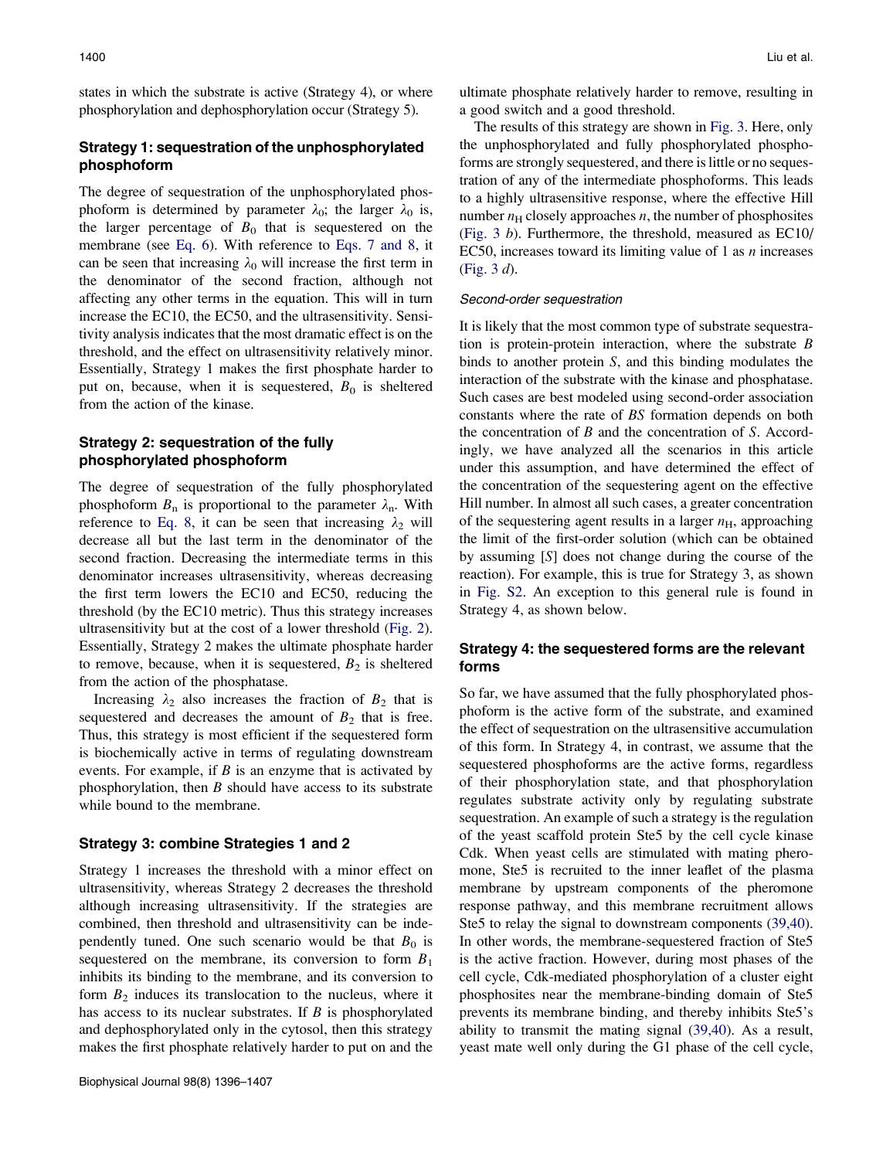states in which the substrate is active (Strategy 4), or where phosphorylation and dephosphorylation occur (Strategy 5).

## Strategy 1: sequestration of the unphosphorylated phosphoform

The degree of sequestration of the unphosphorylated phosphoform is determined by parameter  $\lambda_0$ ; the larger  $\lambda_0$  is, the larger percentage of  $B_0$  that is sequestered on the membrane (see Eq. 6). With reference to Eqs. 7 and 8, it can be seen that increasing  $\lambda_0$  will increase the first term in the denominator of the second fraction, although not affecting any other terms in the equation. This will in turn increase the EC10, the EC50, and the ultrasensitivity. Sensitivity analysis indicates that the most dramatic effect is on the threshold, and the effect on ultrasensitivity relatively minor. Essentially, Strategy 1 makes the first phosphate harder to put on, because, when it is sequestered,  $B_0$  is sheltered from the action of the kinase.

#### Strategy 2: sequestration of the fully phosphorylated phosphoform

The degree of sequestration of the fully phosphorylated phosphoform  $B_n$  is proportional to the parameter  $\lambda_n$ . With reference to Eq. 8, it can be seen that increasing  $\lambda_2$  will decrease all but the last term in the denominator of the second fraction. Decreasing the intermediate terms in this denominator increases ultrasensitivity, whereas decreasing the first term lowers the EC10 and EC50, reducing the threshold (by the EC10 metric). Thus this strategy increases ultrasensitivity but at the cost of a lower threshold ([Fig. 2\)](#page-5-0). Essentially, Strategy 2 makes the ultimate phosphate harder to remove, because, when it is sequestered,  $B_2$  is sheltered from the action of the phosphatase.

Increasing  $\lambda_2$  also increases the fraction of  $B_2$  that is sequestered and decreases the amount of  $B_2$  that is free. Thus, this strategy is most efficient if the sequestered form is biochemically active in terms of regulating downstream events. For example, if  $B$  is an enzyme that is activated by phosphorylation, then  $B$  should have access to its substrate while bound to the membrane.

#### Strategy 3: combine Strategies 1 and 2

Strategy 1 increases the threshold with a minor effect on ultrasensitivity, whereas Strategy 2 decreases the threshold although increasing ultrasensitivity. If the strategies are combined, then threshold and ultrasensitivity can be independently tuned. One such scenario would be that  $B_0$  is sequestered on the membrane, its conversion to form  $B_1$ inhibits its binding to the membrane, and its conversion to form  $B_2$  induces its translocation to the nucleus, where it has access to its nuclear substrates. If  $B$  is phosphorylated and dephosphorylated only in the cytosol, then this strategy makes the first phosphate relatively harder to put on and the ultimate phosphate relatively harder to remove, resulting in a good switch and a good threshold.

The results of this strategy are shown in [Fig. 3.](#page-6-0) Here, only the unphosphorylated and fully phosphorylated phosphoforms are strongly sequestered, and there is little or no sequestration of any of the intermediate phosphoforms. This leads to a highly ultrasensitive response, where the effective Hill number  $n_H$  closely approaches n, the number of phosphosites ([Fig. 3](#page-6-0) b). Furthermore, the threshold, measured as EC10/ EC50, increases toward its limiting value of 1 as  $n$  increases ([Fig. 3](#page-6-0) d).

#### Second-order sequestration

It is likely that the most common type of substrate sequestration is protein-protein interaction, where the substrate  $B$ binds to another protein S, and this binding modulates the interaction of the substrate with the kinase and phosphatase. Such cases are best modeled using second-order association constants where the rate of BS formation depends on both the concentration of B and the concentration of S. Accordingly, we have analyzed all the scenarios in this article under this assumption, and have determined the effect of the concentration of the sequestering agent on the effective Hill number. In almost all such cases, a greater concentration of the sequestering agent results in a larger  $n_{\rm H}$ , approaching the limit of the first-order solution (which can be obtained by assuming [S] does not change during the course of the reaction). For example, this is true for Strategy 3, as shown in [Fig. S2](#page-9-0). An exception to this general rule is found in Strategy 4, as shown below.

## Strategy 4: the sequestered forms are the relevant forms

So far, we have assumed that the fully phosphorylated phosphoform is the active form of the substrate, and examined the effect of sequestration on the ultrasensitive accumulation of this form. In Strategy 4, in contrast, we assume that the sequestered phosphoforms are the active forms, regardless of their phosphorylation state, and that phosphorylation regulates substrate activity only by regulating substrate sequestration. An example of such a strategy is the regulation of the yeast scaffold protein Ste5 by the cell cycle kinase Cdk. When yeast cells are stimulated with mating pheromone, Ste5 is recruited to the inner leaflet of the plasma membrane by upstream components of the pheromone response pathway, and this membrane recruitment allows Ste5 to relay the signal to downstream components [\(39,40\)](#page-10-0). In other words, the membrane-sequestered fraction of Ste5 is the active fraction. However, during most phases of the cell cycle, Cdk-mediated phosphorylation of a cluster eight phosphosites near the membrane-binding domain of Ste5 prevents its membrane binding, and thereby inhibits Ste5's ability to transmit the mating signal [\(39,40\)](#page-10-0). As a result, yeast mate well only during the G1 phase of the cell cycle,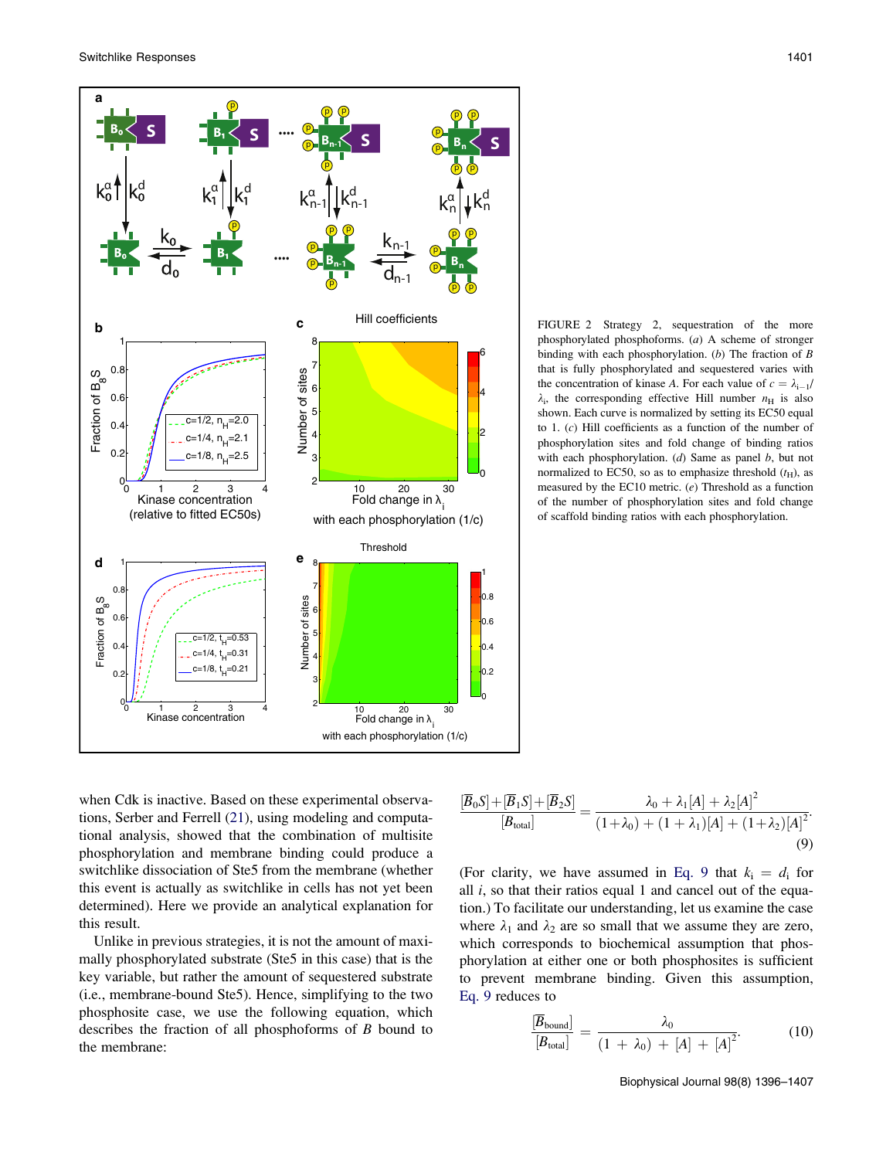<span id="page-5-0"></span>

FIGURE 2 Strategy 2, sequestration of the more phosphorylated phosphoforms. (a) A scheme of stronger binding with each phosphorylation.  $(b)$  The fraction of  $B$ that is fully phosphorylated and sequestered varies with the concentration of kinase A. For each value of  $c = \lambda_{i-1}/i$  $\lambda_i$ , the corresponding effective Hill number  $n_H$  is also shown. Each curve is normalized by setting its EC50 equal to 1. $(c)$  Hill coefficients as a function of the number of phosphorylation sites and fold change of binding ratios with each phosphorylation.  $(d)$  Same as panel  $b$ , but not normalized to EC50, so as to emphasize threshold  $(t_H)$ , as measured by the EC10 metric.  $(e)$  Threshold as a function of the number of phosphorylation sites and fold change of scaffold binding ratios with each phosphorylation.

when Cdk is inactive. Based on these experimental observations, Serber and Ferrell [\(21](#page-10-0)), using modeling and computational analysis, showed that the combination of multisite phosphorylation and membrane binding could produce a switchlike dissociation of Ste5 from the membrane (whether this event is actually as switchlike in cells has not yet been determined). Here we provide an analytical explanation for this result.

Unlike in previous strategies, it is not the amount of maximally phosphorylated substrate (Ste5 in this case) that is the key variable, but rather the amount of sequestered substrate (i.e., membrane-bound Ste5). Hence, simplifying to the two phosphosite case, we use the following equation, which describes the fraction of all phosphoforms of B bound to the membrane:

$$
\frac{[\overline{B}_0 S] + [\overline{B}_1 S] + [\overline{B}_2 S]}{[B_{\text{total}}]} = \frac{\lambda_0 + \lambda_1 [A] + \lambda_2 [A]^2}{(1 + \lambda_0) + (1 + \lambda_1) [A] + (1 + \lambda_2) [A]^2}.
$$
\n(9)

(For clarity, we have assumed in Eq. 9 that  $k_i = d_i$  for all  $i$ , so that their ratios equal 1 and cancel out of the equation.) To facilitate our understanding, let us examine the case where  $\lambda_1$  and  $\lambda_2$  are so small that we assume they are zero, which corresponds to biochemical assumption that phosphorylation at either one or both phosphosites is sufficient to prevent membrane binding. Given this assumption, Eq. 9 reduces to

$$
\frac{[\overline{B}_{\text{bound}}]}{[B_{\text{total}}]} = \frac{\lambda_0}{(1 + \lambda_0) + [A] + [A]^2}.
$$
 (10)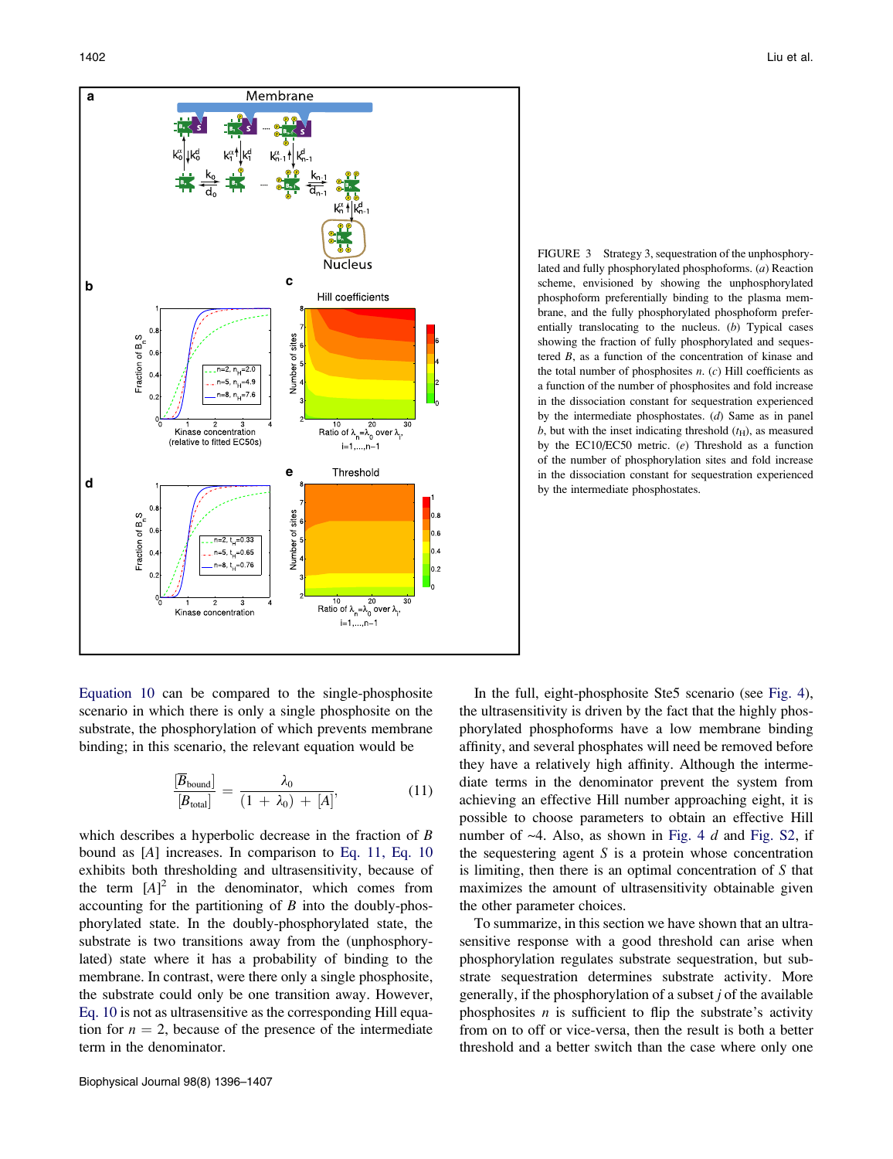<span id="page-6-0"></span>

FIGURE 3 Strategy 3, sequestration of the unphosphorylated and fully phosphorylated phosphoforms. (a) Reaction scheme, envisioned by showing the unphosphorylated phosphoform preferentially binding to the plasma membrane, and the fully phosphorylated phosphoform preferentially translocating to the nucleus. (b) Typical cases showing the fraction of fully phosphorylated and sequestered B, as a function of the concentration of kinase and the total number of phosphosites  $n$ . (c) Hill coefficients as a function of the number of phosphosites and fold increase in the dissociation constant for sequestration experienced by the intermediate phosphostates. (d) Same as in panel  $b$ , but with the inset indicating threshold  $(t_H)$ , as measured by the EC10/EC50 metric. (e) Threshold as a function of the number of phosphorylation sites and fold increase in the dissociation constant for sequestration experienced by the intermediate phosphostates.

Equation 10 can be compared to the single-phosphosite scenario in which there is only a single phosphosite on the substrate, the phosphorylation of which prevents membrane binding; in this scenario, the relevant equation would be

$$
\frac{[\overline{B}_{\text{bound}}]}{[B_{\text{total}}]} = \frac{\lambda_0}{(1 + \lambda_0) + [A]},\tag{11}
$$

which describes a hyperbolic decrease in the fraction of B bound as [A] increases. In comparison to Eq. 11, Eq. 10 exhibits both thresholding and ultrasensitivity, because of the term  $[A]^2$  in the denominator, which comes from accounting for the partitioning of  $B$  into the doubly-phosphorylated state. In the doubly-phosphorylated state, the substrate is two transitions away from the (unphosphorylated) state where it has a probability of binding to the membrane. In contrast, were there only a single phosphosite, the substrate could only be one transition away. However, Eq. 10 is not as ultrasensitive as the corresponding Hill equation for  $n = 2$ , because of the presence of the intermediate term in the denominator.

In the full, eight-phosphosite Ste5 scenario (see [Fig. 4\)](#page-7-0), the ultrasensitivity is driven by the fact that the highly phosphorylated phosphoforms have a low membrane binding affinity, and several phosphates will need be removed before they have a relatively high affinity. Although the intermediate terms in the denominator prevent the system from achieving an effective Hill number approaching eight, it is possible to choose parameters to obtain an effective Hill number of  $\sim$ 4. Also, as shown in [Fig. 4](#page-7-0) d and [Fig. S2](#page-9-0), if the sequestering agent  $S$  is a protein whose concentration is limiting, then there is an optimal concentration of S that maximizes the amount of ultrasensitivity obtainable given the other parameter choices.

To summarize, in this section we have shown that an ultrasensitive response with a good threshold can arise when phosphorylation regulates substrate sequestration, but substrate sequestration determines substrate activity. More generally, if the phosphorylation of a subset  $j$  of the available phosphosites  $n$  is sufficient to flip the substrate's activity from on to off or vice-versa, then the result is both a better threshold and a better switch than the case where only one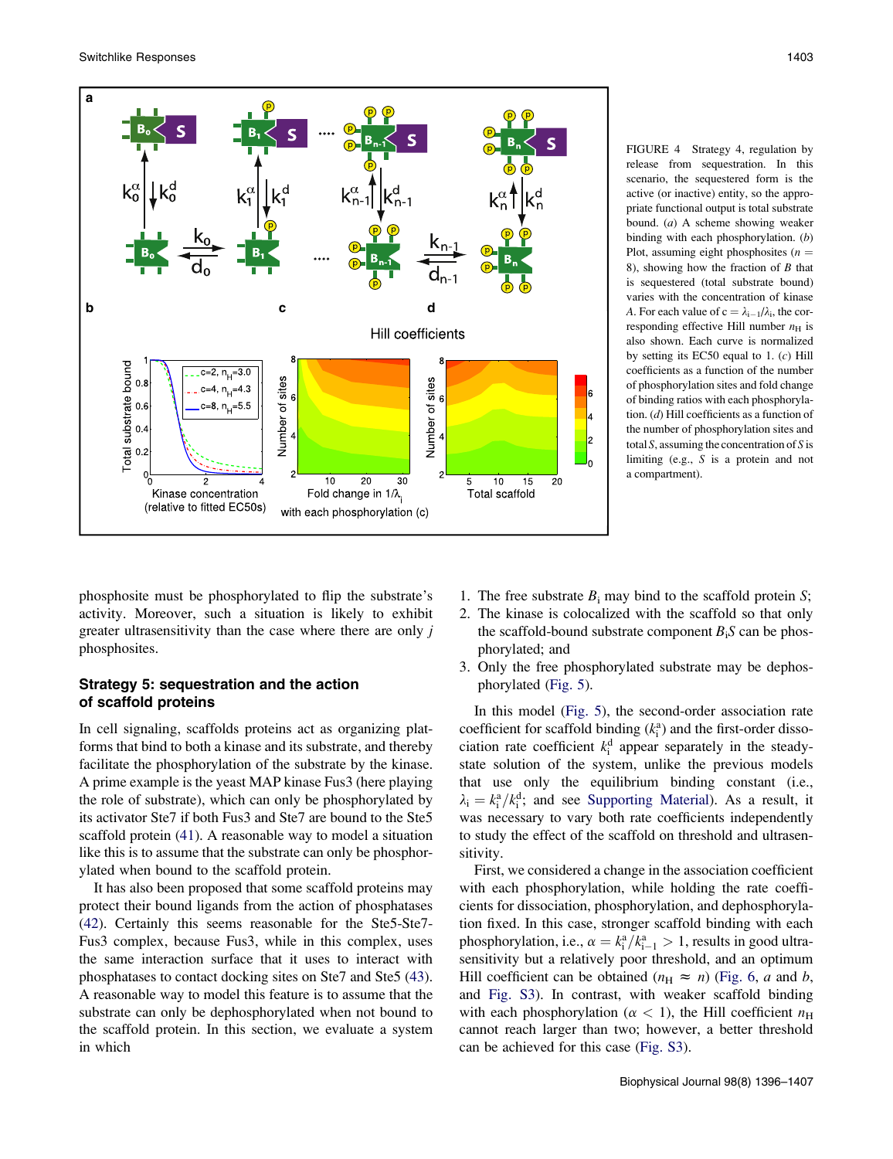<span id="page-7-0"></span>

FIGURE 4 Strategy 4, regulation by release from sequestration. In this scenario, the sequestered form is the active (or inactive) entity, so the appropriate functional output is total substrate bound. (a) A scheme showing weaker binding with each phosphorylation. (b) Plot, assuming eight phosphosites  $(n =$ 8), showing how the fraction of  $B$  that is sequestered (total substrate bound) varies with the concentration of kinase A. For each value of  $c = \lambda_{i-1}/\lambda_i$ , the corresponding effective Hill number  $n_H$  is also shown. Each curve is normalized by setting its EC50 equal to 1.  $(c)$  Hill coefficients as a function of the number of phosphorylation sites and fold change of binding ratios with each phosphorylation. (d) Hill coefficients as a function of the number of phosphorylation sites and total  $S$ , assuming the concentration of  $S$  is limiting (e.g., S is a protein and not a compartment).

phosphosite must be phosphorylated to flip the substrate's activity. Moreover, such a situation is likely to exhibit greater ultrasensitivity than the case where there are only  $j$ phosphosites.

## Strategy 5: sequestration and the action of scaffold proteins

In cell signaling, scaffolds proteins act as organizing platforms that bind to both a kinase and its substrate, and thereby facilitate the phosphorylation of the substrate by the kinase. A prime example is the yeast MAP kinase Fus3 (here playing the role of substrate), which can only be phosphorylated by its activator Ste7 if both Fus3 and Ste7 are bound to the Ste5 scaffold protein ([41\)](#page-10-0). A reasonable way to model a situation like this is to assume that the substrate can only be phosphorylated when bound to the scaffold protein.

It has also been proposed that some scaffold proteins may protect their bound ligands from the action of phosphatases ([42\)](#page-10-0). Certainly this seems reasonable for the Ste5-Ste7- Fus3 complex, because Fus3, while in this complex, uses the same interaction surface that it uses to interact with phosphatases to contact docking sites on Ste7 and Ste5 ([43\)](#page-10-0). A reasonable way to model this feature is to assume that the substrate can only be dephosphorylated when not bound to the scaffold protein. In this section, we evaluate a system in which

- 1. The free substrate  $B_i$  may bind to the scaffold protein S;
- 2. The kinase is colocalized with the scaffold so that only the scaffold-bound substrate component  $B_iS$  can be phosphorylated; and
- 3. Only the free phosphorylated substrate may be dephosphorylated [\(Fig. 5](#page-8-0)).

In this model [\(Fig. 5\)](#page-8-0), the second-order association rate coefficient for scaffold binding  $(k_i^a)$  and the first-order dissociation rate coefficient  $k_i^d$  appear separately in the steadystate solution of the system, unlike the previous models that use only the equilibrium binding constant (i.e.,  $\lambda_i = k_i^a / k_i^d$ ; and see [Supporting Material](#page-9-0)). As a result, it was necessary to vary both rate coefficients independently to study the effect of the scaffold on threshold and ultrasensitivity.

First, we considered a change in the association coefficient with each phosphorylation, while holding the rate coefficients for dissociation, phosphorylation, and dephosphorylation fixed. In this case, stronger scaffold binding with each phosphorylation, i.e.,  $\alpha = k_i^a / k_{i-1}^a > 1$ , results in good ultrasensitivity but a relatively poor threshold, and an optimum Hill coefficient can be obtained  $(n_H \approx n)$  [\(Fig. 6](#page-8-0), a and b, and [Fig. S3\)](#page-9-0). In contrast, with weaker scaffold binding with each phosphorylation ( $\alpha$  < 1), the Hill coefficient  $n_{\rm H}$ cannot reach larger than two; however, a better threshold can be achieved for this case [\(Fig. S3\)](#page-9-0).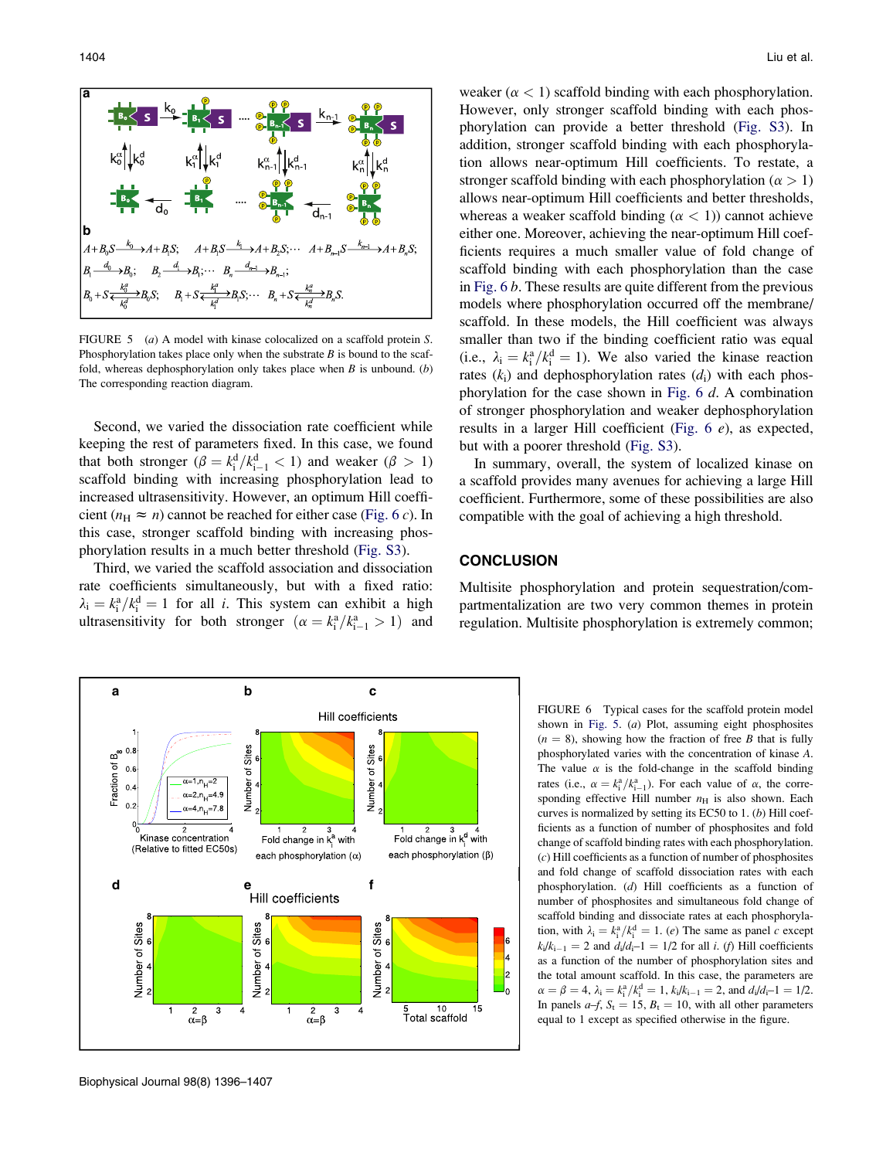<span id="page-8-0"></span>

FIGURE 5 (a) A model with kinase colocalized on a scaffold protein S. Phosphorylation takes place only when the substrate  $B$  is bound to the scaffold, whereas dephosphorylation only takes place when  $B$  is unbound. (b) The corresponding reaction diagram.

Second, we varied the dissociation rate coefficient while keeping the rest of parameters fixed. In this case, we found that both stronger  $(\beta = k_1^d / k_{i-1}^d < 1)$  and weaker  $(\beta > 1)$ scaffold binding with increasing phosphorylation lead to increased ultrasensitivity. However, an optimum Hill coefficient ( $n_H \approx n$ ) cannot be reached for either case (Fig. 6 c). In this case, stronger scaffold binding with increasing phosphorylation results in a much better threshold [\(Fig. S3](#page-9-0)).

Third, we varied the scaffold association and dissociation rate coefficients simultaneously, but with a fixed ratio:  $\lambda_i = k_i^a / k_i^d = 1$  for all *i*. This system can exhibit a high ultrasensitivity for both stronger  $(\alpha = k_i^a / k_{i-1}^a > 1)$  and



weaker ( $\alpha$  < 1) scaffold binding with each phosphorylation. However, only stronger scaffold binding with each phosphorylation can provide a better threshold ([Fig. S3](#page-9-0)). In addition, stronger scaffold binding with each phosphorylation allows near-optimum Hill coefficients. To restate, a stronger scaffold binding with each phosphorylation ( $\alpha > 1$ ) allows near-optimum Hill coefficients and better thresholds, whereas a weaker scaffold binding ( $\alpha$  < 1)) cannot achieve either one. Moreover, achieving the near-optimum Hill coefficients requires a much smaller value of fold change of scaffold binding with each phosphorylation than the case in Fig. 6 b. These results are quite different from the previous models where phosphorylation occurred off the membrane/ scaffold. In these models, the Hill coefficient was always smaller than two if the binding coefficient ratio was equal (i.e.,  $\lambda_i = k_i^a / k_i^d = 1$ ). We also varied the kinase reaction rates  $(k<sub>i</sub>)$  and dephosphorylation rates  $(d<sub>i</sub>)$  with each phosphorylation for the case shown in Fig. 6 d. A combination of stronger phosphorylation and weaker dephosphorylation results in a larger Hill coefficient (Fig. 6 e), as expected, but with a poorer threshold ([Fig. S3](#page-9-0)).

In summary, overall, the system of localized kinase on a scaffold provides many avenues for achieving a large Hill coefficient. Furthermore, some of these possibilities are also compatible with the goal of achieving a high threshold.

#### **CONCLUSION**

Multisite phosphorylation and protein sequestration/compartmentalization are two very common themes in protein regulation. Multisite phosphorylation is extremely common;

> FIGURE 6 Typical cases for the scaffold protein model shown in Fig. 5. (a) Plot, assuming eight phosphosites  $(n = 8)$ , showing how the fraction of free B that is fully phosphorylated varies with the concentration of kinase A. The value  $\alpha$  is the fold-change in the scaffold binding rates (i.e.,  $\alpha = k_i^a / k_{i-1}^a$ ). For each value of  $\alpha$ , the corresponding effective Hill number  $n<sub>H</sub>$  is also shown. Each curves is normalized by setting its EC50 to 1.  $(b)$  Hill coefficients as a function of number of phosphosites and fold change of scaffold binding rates with each phosphorylation. (c) Hill coefficients as a function of number of phosphosites and fold change of scaffold dissociation rates with each phosphorylation. (d) Hill coefficients as a function of number of phosphosites and simultaneous fold change of scaffold binding and dissociate rates at each phosphorylation, with  $\lambda_i = k_i^a / k_i^d = 1$ . (e) The same as panel c except  $k_i/k_{i-1} = 2$  and  $d_i/d_{i-1} = 1/2$  for all *i*. (*f*) Hill coefficients as a function of the number of phosphorylation sites and the total amount scaffold. In this case, the parameters are  $\alpha = \beta = 4$ ,  $\lambda_i = k_i^a / k_i^d = 1$ ,  $k_i / k_{i-1} = 2$ , and  $d_i / d_i - 1 = 1/2$ . In panels  $a-f$ ,  $S_t = 15$ ,  $B_t = 10$ , with all other parameters equal to 1 except as specified otherwise in the figure.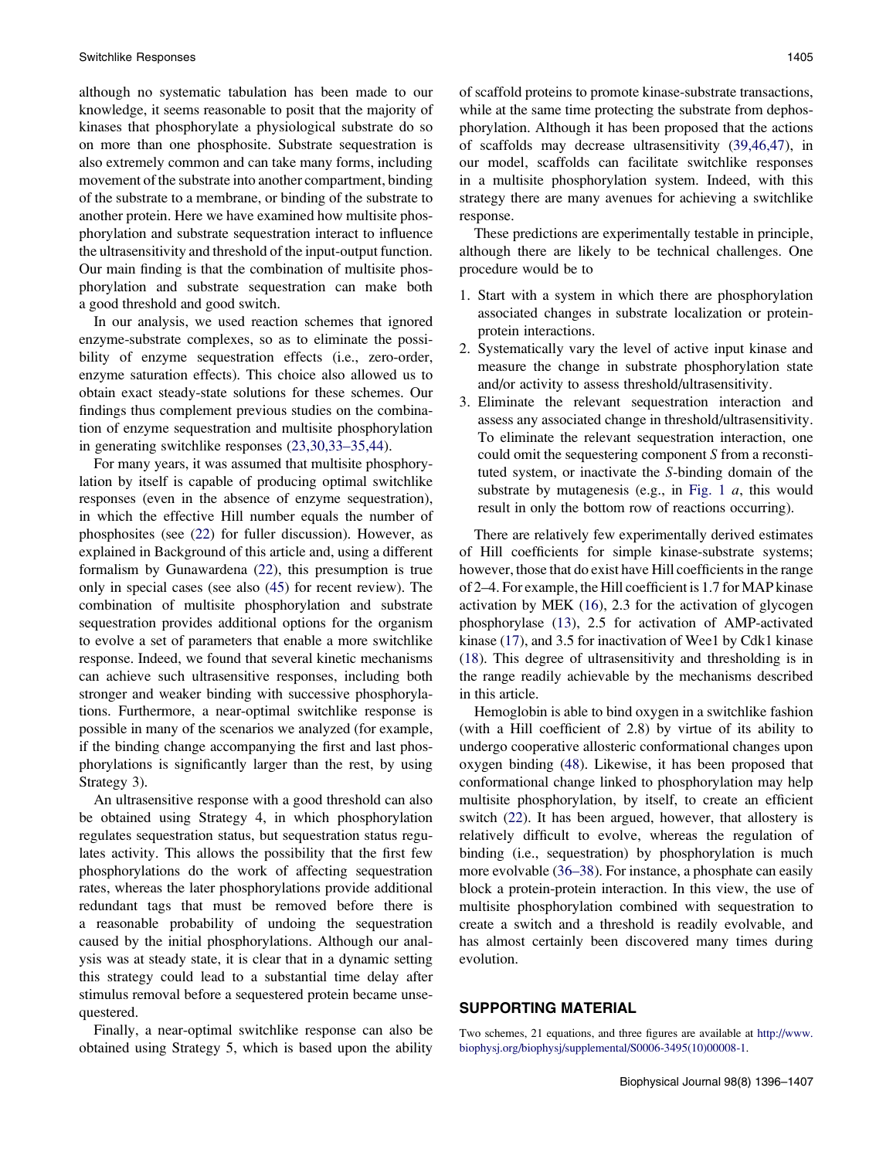<span id="page-9-0"></span>although no systematic tabulation has been made to our knowledge, it seems reasonable to posit that the majority of kinases that phosphorylate a physiological substrate do so on more than one phosphosite. Substrate sequestration is also extremely common and can take many forms, including movement of the substrate into another compartment, binding of the substrate to a membrane, or binding of the substrate to another protein. Here we have examined how multisite phosphorylation and substrate sequestration interact to influence the ultrasensitivity and threshold of the input-output function. Our main finding is that the combination of multisite phosphorylation and substrate sequestration can make both a good threshold and good switch.

In our analysis, we used reaction schemes that ignored enzyme-substrate complexes, so as to eliminate the possibility of enzyme sequestration effects (i.e., zero-order, enzyme saturation effects). This choice also allowed us to obtain exact steady-state solutions for these schemes. Our findings thus complement previous studies on the combination of enzyme sequestration and multisite phosphorylation in generating switchlike responses ([23,30,33–35,44](#page-10-0)).

For many years, it was assumed that multisite phosphorylation by itself is capable of producing optimal switchlike responses (even in the absence of enzyme sequestration), in which the effective Hill number equals the number of phosphosites (see ([22\)](#page-10-0) for fuller discussion). However, as explained in Background of this article and, using a different formalism by Gunawardena ([22\)](#page-10-0), this presumption is true only in special cases (see also [\(45](#page-11-0)) for recent review). The combination of multisite phosphorylation and substrate sequestration provides additional options for the organism to evolve a set of parameters that enable a more switchlike response. Indeed, we found that several kinetic mechanisms can achieve such ultrasensitive responses, including both stronger and weaker binding with successive phosphorylations. Furthermore, a near-optimal switchlike response is possible in many of the scenarios we analyzed (for example, if the binding change accompanying the first and last phosphorylations is significantly larger than the rest, by using Strategy 3).

An ultrasensitive response with a good threshold can also be obtained using Strategy 4, in which phosphorylation regulates sequestration status, but sequestration status regulates activity. This allows the possibility that the first few phosphorylations do the work of affecting sequestration rates, whereas the later phosphorylations provide additional redundant tags that must be removed before there is a reasonable probability of undoing the sequestration caused by the initial phosphorylations. Although our analysis was at steady state, it is clear that in a dynamic setting this strategy could lead to a substantial time delay after stimulus removal before a sequestered protein became unsequestered.

Finally, a near-optimal switchlike response can also be obtained using Strategy 5, which is based upon the ability of scaffold proteins to promote kinase-substrate transactions, while at the same time protecting the substrate from dephosphorylation. Although it has been proposed that the actions of scaffolds may decrease ultrasensitivity [\(39,46,47](#page-10-0)), in our model, scaffolds can facilitate switchlike responses in a multisite phosphorylation system. Indeed, with this strategy there are many avenues for achieving a switchlike response.

These predictions are experimentally testable in principle, although there are likely to be technical challenges. One procedure would be to

- 1. Start with a system in which there are phosphorylation associated changes in substrate localization or proteinprotein interactions.
- 2. Systematically vary the level of active input kinase and measure the change in substrate phosphorylation state and/or activity to assess threshold/ultrasensitivity.
- 3. Eliminate the relevant sequestration interaction and assess any associated change in threshold/ultrasensitivity. To eliminate the relevant sequestration interaction, one could omit the sequestering component S from a reconstituted system, or inactivate the S-binding domain of the substrate by mutagenesis (e.g., in [Fig. 1](#page-3-0)  $a$ , this would result in only the bottom row of reactions occurring).

There are relatively few experimentally derived estimates of Hill coefficients for simple kinase-substrate systems; however, those that do exist have Hill coefficients in the range of 2–4. For example, the Hill coefficient is 1.7 for MAP kinase activation by MEK ([16\)](#page-10-0), 2.3 for the activation of glycogen phosphorylase [\(13](#page-10-0)), 2.5 for activation of AMP-activated kinase [\(17](#page-10-0)), and 3.5 for inactivation of Wee1 by Cdk1 kinase ([18\)](#page-10-0). This degree of ultrasensitivity and thresholding is in the range readily achievable by the mechanisms described in this article.

Hemoglobin is able to bind oxygen in a switchlike fashion (with a Hill coefficient of 2.8) by virtue of its ability to undergo cooperative allosteric conformational changes upon oxygen binding ([48\)](#page-11-0). Likewise, it has been proposed that conformational change linked to phosphorylation may help multisite phosphorylation, by itself, to create an efficient switch [\(22](#page-10-0)). It has been argued, however, that allostery is relatively difficult to evolve, whereas the regulation of binding (i.e., sequestration) by phosphorylation is much more evolvable ([36–38\)](#page-10-0). For instance, a phosphate can easily block a protein-protein interaction. In this view, the use of multisite phosphorylation combined with sequestration to create a switch and a threshold is readily evolvable, and has almost certainly been discovered many times during evolution.

#### SUPPORTING MATERIAL

Two schemes, 21 equations, and three figures are available at [http://www.](http://www.biophysj.org/biophysj/supplemental/S0006-3495(10)00008-1) [biophysj.org/biophysj/supplemental/S0006-3495\(10\)00008-1](http://www.biophysj.org/biophysj/supplemental/S0006-3495(10)00008-1).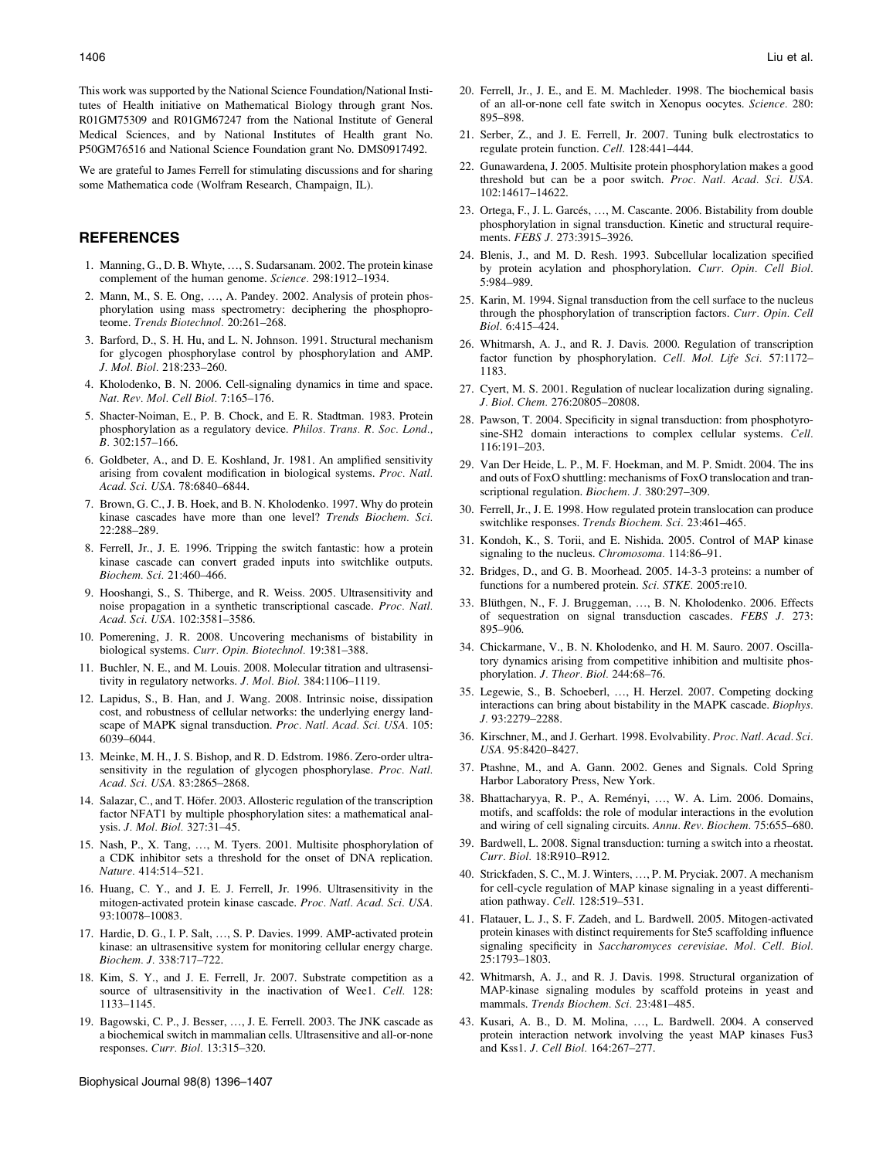<span id="page-10-0"></span>This work was supported by the National Science Foundation/National Institutes of Health initiative on Mathematical Biology through grant Nos. R01GM75309 and R01GM67247 from the National Institute of General Medical Sciences, and by National Institutes of Health grant No. P50GM76516 and National Science Foundation grant No. DMS0917492.

We are grateful to James Ferrell for stimulating discussions and for sharing some Mathematica code (Wolfram Research, Champaign, IL).

## REFERENCES

- 1. Manning, G., D. B. Whyte, ., S. Sudarsanam. 2002. The protein kinase complement of the human genome. Science. 298:1912–1934.
- 2. Mann, M., S. E. Ong, ..., A. Pandey. 2002. Analysis of protein phosphorylation using mass spectrometry: deciphering the phosphoproteome. Trends Biotechnol. 20:261–268.
- 3. Barford, D., S. H. Hu, and L. N. Johnson. 1991. Structural mechanism for glycogen phosphorylase control by phosphorylation and AMP. J. Mol. Biol. 218:233–260.
- 4. Kholodenko, B. N. 2006. Cell-signaling dynamics in time and space. Nat. Rev. Mol. Cell Biol. 7:165–176.
- 5. Shacter-Noiman, E., P. B. Chock, and E. R. Stadtman. 1983. Protein phosphorylation as a regulatory device. Philos. Trans. R. Soc. Lond., B. 302:157–166.
- 6. Goldbeter, A., and D. E. Koshland, Jr. 1981. An amplified sensitivity arising from covalent modification in biological systems. Proc. Natl. Acad. Sci. USA. 78:6840–6844.
- 7. Brown, G. C., J. B. Hoek, and B. N. Kholodenko. 1997. Why do protein kinase cascades have more than one level? Trends Biochem. Sci. 22:288–289.
- 8. Ferrell, Jr., J. E. 1996. Tripping the switch fantastic: how a protein kinase cascade can convert graded inputs into switchlike outputs. Biochem. Sci. 21:460–466.
- 9. Hooshangi, S., S. Thiberge, and R. Weiss. 2005. Ultrasensitivity and noise propagation in a synthetic transcriptional cascade. Proc. Natl. Acad. Sci. USA. 102:3581–3586.
- 10. Pomerening, J. R. 2008. Uncovering mechanisms of bistability in biological systems. Curr. Opin. Biotechnol. 19:381–388.
- 11. Buchler, N. E., and M. Louis. 2008. Molecular titration and ultrasensitivity in regulatory networks. J. Mol. Biol. 384:1106–1119.
- 12. Lapidus, S., B. Han, and J. Wang. 2008. Intrinsic noise, dissipation cost, and robustness of cellular networks: the underlying energy landscape of MAPK signal transduction. Proc. Natl. Acad. Sci. USA. 105: 6039–6044.
- 13. Meinke, M. H., J. S. Bishop, and R. D. Edstrom. 1986. Zero-order ultrasensitivity in the regulation of glycogen phosphorylase. Proc. Natl. Acad. Sci. USA. 83:2865–2868.
- 14. Salazar, C., and T. Höfer. 2003. Allosteric regulation of the transcription factor NFAT1 by multiple phosphorylation sites: a mathematical analysis. J. Mol. Biol. 327:31–45.
- 15. Nash, P., X. Tang, ..., M. Tyers. 2001. Multisite phosphorylation of a CDK inhibitor sets a threshold for the onset of DNA replication. Nature. 414:514–521.
- 16. Huang, C. Y., and J. E. J. Ferrell, Jr. 1996. Ultrasensitivity in the mitogen-activated protein kinase cascade. Proc. Natl. Acad. Sci. USA. 93:10078–10083.
- 17. Hardie, D. G., I. P. Salt, ..., S. P. Davies. 1999. AMP-activated protein kinase: an ultrasensitive system for monitoring cellular energy charge. Biochem. J. 338:717–722.
- 18. Kim, S. Y., and J. E. Ferrell, Jr. 2007. Substrate competition as a source of ultrasensitivity in the inactivation of Wee1. Cell. 128: 1133–1145.
- 19. Bagowski, C. P., J. Besser, ..., J. E. Ferrell. 2003. The JNK cascade as a biochemical switch in mammalian cells. Ultrasensitive and all-or-none responses. Curr. Biol. 13:315–320.

Biophysical Journal 98(8) 1396–1407

- 20. Ferrell, Jr., J. E., and E. M. Machleder. 1998. The biochemical basis of an all-or-none cell fate switch in Xenopus oocytes. Science. 280: 895–898.
- 21. Serber, Z., and J. E. Ferrell, Jr. 2007. Tuning bulk electrostatics to regulate protein function. Cell. 128:441–444.
- 22. Gunawardena, J. 2005. Multisite protein phosphorylation makes a good threshold but can be a poor switch. Proc. Natl. Acad. Sci. USA. 102:14617–14622.
- 23. Ortega, F., J. L. Garcés, ..., M. Cascante. 2006. Bistability from double phosphorylation in signal transduction. Kinetic and structural requirements. FEBS J. 273:3915–3926.
- 24. Blenis, J., and M. D. Resh. 1993. Subcellular localization specified by protein acylation and phosphorylation. Curr. Opin. Cell Biol. 5:984–989.
- 25. Karin, M. 1994. Signal transduction from the cell surface to the nucleus through the phosphorylation of transcription factors. Curr. Opin. Cell Biol. 6:415–424.
- 26. Whitmarsh, A. J., and R. J. Davis. 2000. Regulation of transcription factor function by phosphorylation. Cell. Mol. Life Sci. 57:1172– 1183.
- 27. Cyert, M. S. 2001. Regulation of nuclear localization during signaling. J. Biol. Chem. 276:20805–20808.
- 28. Pawson, T. 2004. Specificity in signal transduction: from phosphotyrosine-SH2 domain interactions to complex cellular systems. Cell. 116:191–203.
- 29. Van Der Heide, L. P., M. F. Hoekman, and M. P. Smidt. 2004. The ins and outs of FoxO shuttling: mechanisms of FoxO translocation and transcriptional regulation. Biochem. J. 380:297–309.
- 30. Ferrell, Jr., J. E. 1998. How regulated protein translocation can produce switchlike responses. Trends Biochem. Sci. 23:461–465.
- 31. Kondoh, K., S. Torii, and E. Nishida. 2005. Control of MAP kinase signaling to the nucleus. Chromosoma. 114:86–91.
- 32. Bridges, D., and G. B. Moorhead. 2005. 14-3-3 proteins: a number of functions for a numbered protein. Sci. STKE. 2005:re10.
- 33. Blüthgen, N., F. J. Bruggeman, ..., B. N. Kholodenko. 2006. Effects of sequestration on signal transduction cascades. FEBS J. 273: 895–906.
- 34. Chickarmane, V., B. N. Kholodenko, and H. M. Sauro. 2007. Oscillatory dynamics arising from competitive inhibition and multisite phosphorylation. J. Theor. Biol. 244:68–76.
- 35. Legewie, S., B. Schoeberl, ..., H. Herzel. 2007. Competing docking interactions can bring about bistability in the MAPK cascade. Biophys. J. 93:2279–2288.
- 36. Kirschner, M., and J. Gerhart. 1998. Evolvability. Proc. Natl. Acad. Sci. USA. 95:8420–8427.
- 37. Ptashne, M., and A. Gann. 2002. Genes and Signals. Cold Spring Harbor Laboratory Press, New York.
- 38. Bhattacharyya, R. P., A. Reményi, ..., W. A. Lim. 2006. Domains, motifs, and scaffolds: the role of modular interactions in the evolution and wiring of cell signaling circuits. Annu. Rev. Biochem. 75:655–680.
- 39. Bardwell, L. 2008. Signal transduction: turning a switch into a rheostat. Curr. Biol. 18:R910–R912.
- 40. Strickfaden, S. C., M. J. Winters, ., P. M. Pryciak. 2007. A mechanism for cell-cycle regulation of MAP kinase signaling in a yeast differentiation pathway. Cell. 128:519–531.
- 41. Flatauer, L. J., S. F. Zadeh, and L. Bardwell. 2005. Mitogen-activated protein kinases with distinct requirements for Ste5 scaffolding influence signaling specificity in Saccharomyces cerevisiae. Mol. Cell. Biol. 25:1793–1803.
- 42. Whitmarsh, A. J., and R. J. Davis. 1998. Structural organization of MAP-kinase signaling modules by scaffold proteins in yeast and mammals. Trends Biochem. Sci. 23:481–485.
- 43. Kusari, A. B., D. M. Molina, ..., L. Bardwell. 2004. A conserved protein interaction network involving the yeast MAP kinases Fus3 and Kss1. J. Cell Biol. 164:267–277.